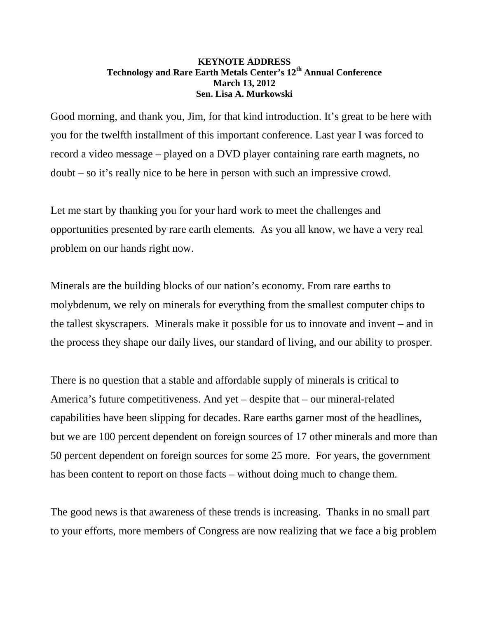## **KEYNOTE ADDRESS Technology and Rare Earth Metals Center's 12th Annual Conference March 13, 2012 Sen. Lisa A. Murkowski**

Good morning, and thank you, Jim, for that kind introduction. It's great to be here with you for the twelfth installment of this important conference. Last year I was forced to record a video message – played on a DVD player containing rare earth magnets, no doubt – so it's really nice to be here in person with such an impressive crowd.

Let me start by thanking you for your hard work to meet the challenges and opportunities presented by rare earth elements. As you all know, we have a very real problem on our hands right now.

Minerals are the building blocks of our nation's economy. From rare earths to molybdenum, we rely on minerals for everything from the smallest computer chips to the tallest skyscrapers. Minerals make it possible for us to innovate and invent – and in the process they shape our daily lives, our standard of living, and our ability to prosper.

There is no question that a stable and affordable supply of minerals is critical to America's future competitiveness. And yet – despite that – our mineral-related capabilities have been slipping for decades. Rare earths garner most of the headlines, but we are 100 percent dependent on foreign sources of 17 other minerals and more than 50 percent dependent on foreign sources for some 25 more. For years, the government has been content to report on those facts – without doing much to change them.

The good news is that awareness of these trends is increasing. Thanks in no small part to your efforts, more members of Congress are now realizing that we face a big problem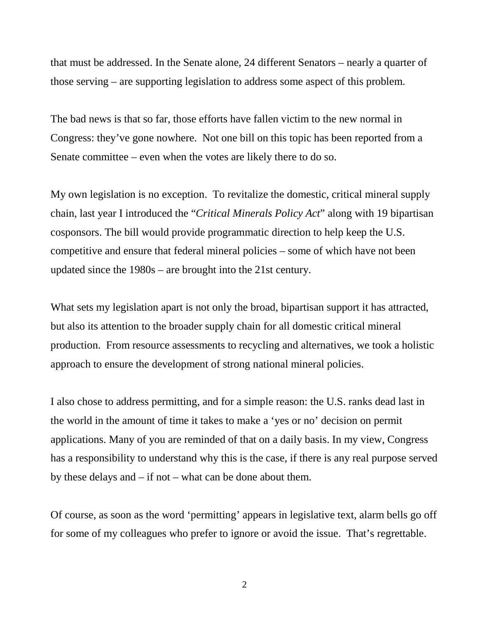that must be addressed. In the Senate alone, 24 different Senators – nearly a quarter of those serving – are supporting legislation to address some aspect of this problem.

The bad news is that so far, those efforts have fallen victim to the new normal in Congress: they've gone nowhere. Not one bill on this topic has been reported from a Senate committee – even when the votes are likely there to do so.

My own legislation is no exception. To revitalize the domestic, critical mineral supply chain, last year I introduced the "*Critical Minerals Policy Act*" along with 19 bipartisan cosponsors. The bill would provide programmatic direction to help keep the U.S. competitive and ensure that federal mineral policies – some of which have not been updated since the 1980s – are brought into the 21st century.

What sets my legislation apart is not only the broad, bipartisan support it has attracted, but also its attention to the broader supply chain for all domestic critical mineral production. From resource assessments to recycling and alternatives, we took a holistic approach to ensure the development of strong national mineral policies.

I also chose to address permitting, and for a simple reason: the U.S. ranks dead last in the world in the amount of time it takes to make a 'yes or no' decision on permit applications. Many of you are reminded of that on a daily basis. In my view, Congress has a responsibility to understand why this is the case, if there is any real purpose served by these delays and – if not – what can be done about them.

Of course, as soon as the word 'permitting' appears in legislative text, alarm bells go off for some of my colleagues who prefer to ignore or avoid the issue. That's regrettable.

2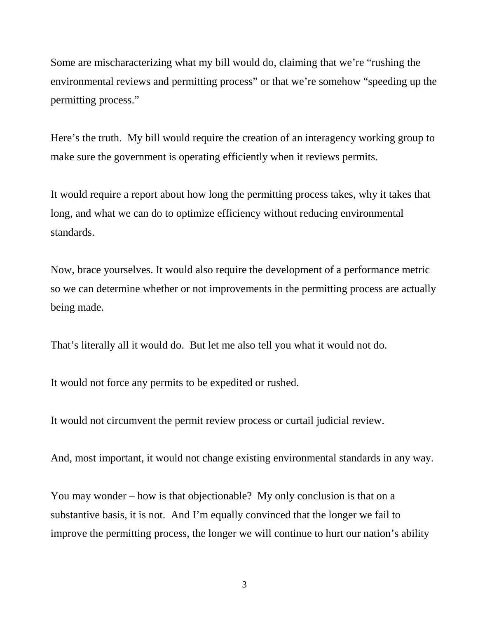Some are mischaracterizing what my bill would do, claiming that we're "rushing the environmental reviews and permitting process" or that we're somehow "speeding up the permitting process."

Here's the truth. My bill would require the creation of an interagency working group to make sure the government is operating efficiently when it reviews permits.

It would require a report about how long the permitting process takes, why it takes that long, and what we can do to optimize efficiency without reducing environmental standards.

Now, brace yourselves. It would also require the development of a performance metric so we can determine whether or not improvements in the permitting process are actually being made.

That's literally all it would do. But let me also tell you what it would not do.

It would not force any permits to be expedited or rushed.

It would not circumvent the permit review process or curtail judicial review.

And, most important, it would not change existing environmental standards in any way.

You may wonder – how is that objectionable? My only conclusion is that on a substantive basis, it is not. And I'm equally convinced that the longer we fail to improve the permitting process, the longer we will continue to hurt our nation's ability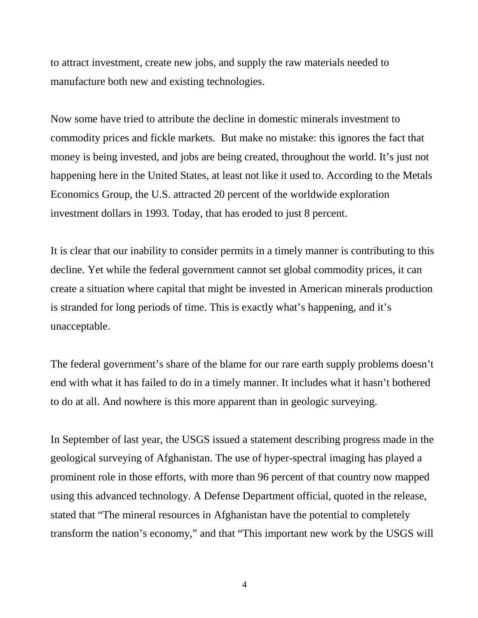to attract investment, create new jobs, and supply the raw materials needed to manufacture both new and existing technologies.

Now some have tried to attribute the decline in domestic minerals investment to commodity prices and fickle markets. But make no mistake: this ignores the fact that money is being invested, and jobs are being created, throughout the world. It's just not happening here in the United States, at least not like it used to. According to the Metals Economics Group, the U.S. attracted 20 percent of the worldwide exploration investment dollars in 1993. Today, that has eroded to just 8 percent.

It is clear that our inability to consider permits in a timely manner is contributing to this decline. Yet while the federal government cannot set global commodity prices, it can create a situation where capital that might be invested in American minerals production is stranded for long periods of time. This is exactly what's happening, and it's unacceptable.

The federal government's share of the blame for our rare earth supply problems doesn't end with what it has failed to do in a timely manner. It includes what it hasn't bothered to do at all. And nowhere is this more apparent than in geologic surveying.

In September of last year, the USGS issued a statement describing progress made in the geological surveying of Afghanistan. The use of hyper-spectral imaging has played a prominent role in those efforts, with more than 96 percent of that country now mapped using this advanced technology. A Defense Department official, quoted in the release, stated that "The mineral resources in Afghanistan have the potential to completely transform the nation's economy," and that "This important new work by the USGS will

4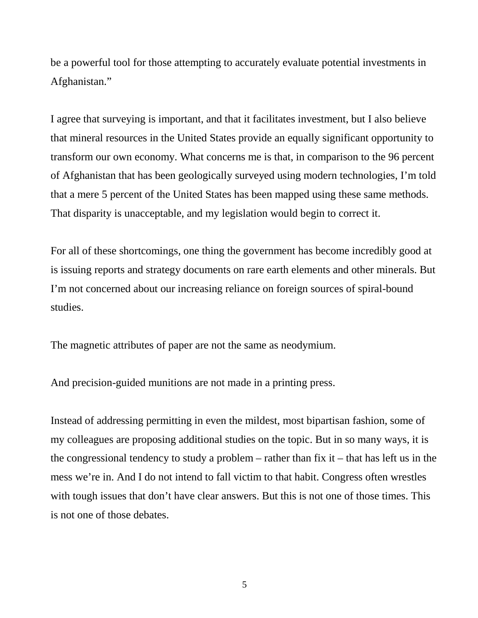be a powerful tool for those attempting to accurately evaluate potential investments in Afghanistan."

I agree that surveying is important, and that it facilitates investment, but I also believe that mineral resources in the United States provide an equally significant opportunity to transform our own economy. What concerns me is that, in comparison to the 96 percent of Afghanistan that has been geologically surveyed using modern technologies, I'm told that a mere 5 percent of the United States has been mapped using these same methods. That disparity is unacceptable, and my legislation would begin to correct it.

For all of these shortcomings, one thing the government has become incredibly good at is issuing reports and strategy documents on rare earth elements and other minerals. But I'm not concerned about our increasing reliance on foreign sources of spiral-bound studies.

The magnetic attributes of paper are not the same as neodymium.

And precision-guided munitions are not made in a printing press.

Instead of addressing permitting in even the mildest, most bipartisan fashion, some of my colleagues are proposing additional studies on the topic. But in so many ways, it is the congressional tendency to study a problem – rather than fix it – that has left us in the mess we're in. And I do not intend to fall victim to that habit. Congress often wrestles with tough issues that don't have clear answers. But this is not one of those times. This is not one of those debates.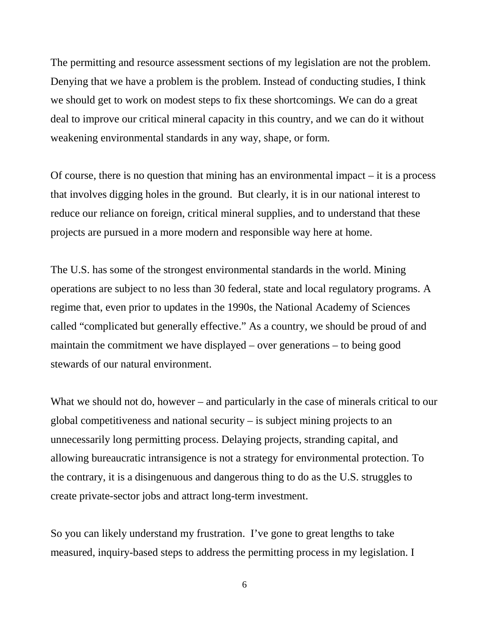The permitting and resource assessment sections of my legislation are not the problem. Denying that we have a problem is the problem. Instead of conducting studies, I think we should get to work on modest steps to fix these shortcomings. We can do a great deal to improve our critical mineral capacity in this country, and we can do it without weakening environmental standards in any way, shape, or form.

Of course, there is no question that mining has an environmental impact – it is a process that involves digging holes in the ground. But clearly, it is in our national interest to reduce our reliance on foreign, critical mineral supplies, and to understand that these projects are pursued in a more modern and responsible way here at home.

The U.S. has some of the strongest environmental standards in the world. Mining operations are subject to no less than 30 federal, state and local regulatory programs. A regime that, even prior to updates in the 1990s, the National Academy of Sciences called "complicated but generally effective." As a country, we should be proud of and maintain the commitment we have displayed – over generations – to being good stewards of our natural environment.

What we should not do, however – and particularly in the case of minerals critical to our global competitiveness and national security – is subject mining projects to an unnecessarily long permitting process. Delaying projects, stranding capital, and allowing bureaucratic intransigence is not a strategy for environmental protection. To the contrary, it is a disingenuous and dangerous thing to do as the U.S. struggles to create private-sector jobs and attract long-term investment.

So you can likely understand my frustration. I've gone to great lengths to take measured, inquiry-based steps to address the permitting process in my legislation. I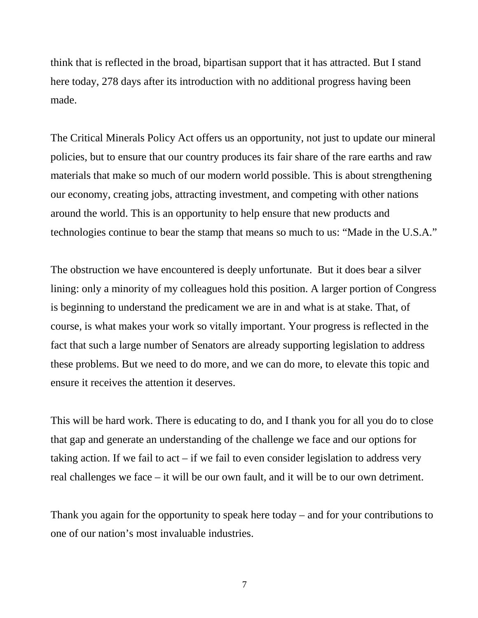think that is reflected in the broad, bipartisan support that it has attracted. But I stand here today, 278 days after its introduction with no additional progress having been made.

The Critical Minerals Policy Act offers us an opportunity, not just to update our mineral policies, but to ensure that our country produces its fair share of the rare earths and raw materials that make so much of our modern world possible. This is about strengthening our economy, creating jobs, attracting investment, and competing with other nations around the world. This is an opportunity to help ensure that new products and technologies continue to bear the stamp that means so much to us: "Made in the U.S.A."

The obstruction we have encountered is deeply unfortunate. But it does bear a silver lining: only a minority of my colleagues hold this position. A larger portion of Congress is beginning to understand the predicament we are in and what is at stake. That, of course, is what makes your work so vitally important. Your progress is reflected in the fact that such a large number of Senators are already supporting legislation to address these problems. But we need to do more, and we can do more, to elevate this topic and ensure it receives the attention it deserves.

This will be hard work. There is educating to do, and I thank you for all you do to close that gap and generate an understanding of the challenge we face and our options for taking action. If we fail to act – if we fail to even consider legislation to address very real challenges we face – it will be our own fault, and it will be to our own detriment.

Thank you again for the opportunity to speak here today – and for your contributions to one of our nation's most invaluable industries.

7